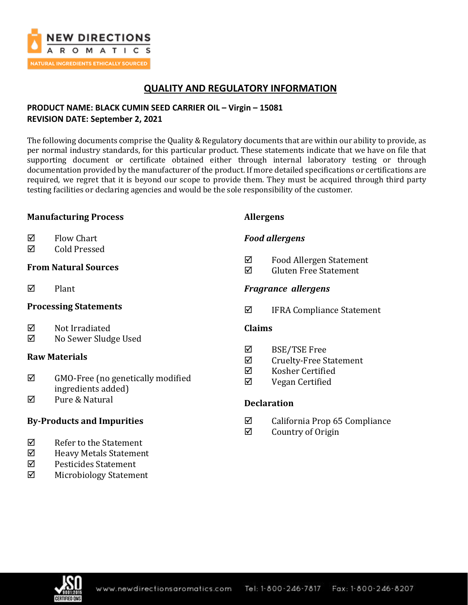

## **QUALITY AND REGULATORY INFORMATION**

## **PRODUCT NAME: BLACK CUMIN SEED CARRIER OIL – Virgin – 15081 REVISION DATE: September 2, 2021**

The following documents comprise the Quality & Regulatory documents that are within our ability to provide, as per normal industry standards, for this particular product. These statements indicate that we have on file that supporting document or certificate obtained either through internal laboratory testing or through documentation provided by the manufacturer of the product. If more detailed specifications or certifications are required, we regret that it is beyond our scope to provide them. They must be acquired through third party testing facilities or declaring agencies and would be the sole responsibility of the customer.

### **Manufacturing Process**

- $\boxtimes$  Flow Chart
- Cold Pressed

### **From Natural Sources**

 $\nabla$  Plant

## **Processing Statements**

- $\boxtimes$  Not Irradiated
- No Sewer Sludge Used

### **Raw Materials**

- $\boxtimes$  GMO-Free (no genetically modified ingredients added)
- $\boxtimes$  Pure & Natural

## **By-Products and Impurities**

- $\nabla$  Refer to the Statement
- Heavy Metals Statement
- $\boxtimes$  Pesticides Statement
- $\boxtimes$  Microbiology Statement

### **Allergens**

## *Food allergens*

- $\Phi$  Food Allergen Statement
- $\boxtimes$  Gluten Free Statement

## *Fragrance allergens*

IFRA Compliance Statement

## **Claims**

- BSE/TSE Free
- $\boxdot$  Cruelty-Free Statement
- $\boxtimes$  Kosher Certified
- $\nabla$  Vegan Certified

## **Declaration**

- $\boxtimes$  California Prop 65 Compliance
- $\boxtimes$  Country of Origin

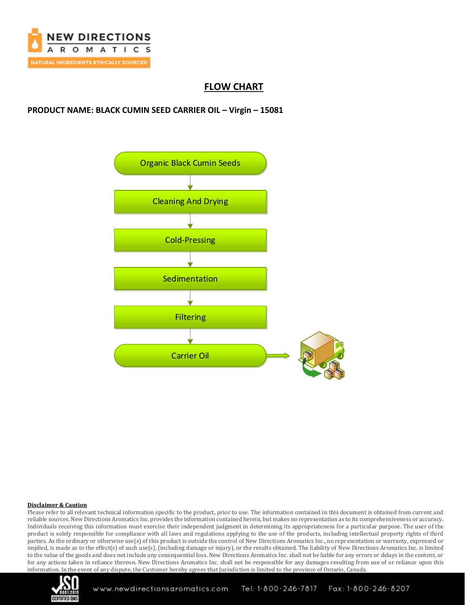

## **FLOW CHART**

## **PRODUCT NAME: BLACK CUMIN SEED CARRIER OIL – Virgin – 15081**



### **Disclaimer & Caution**

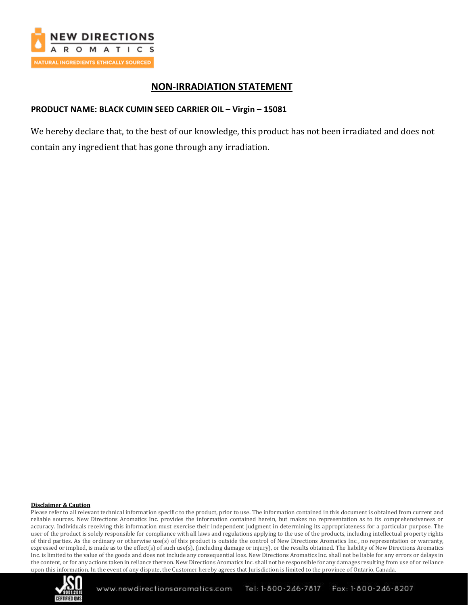

## **NON-IRRADIATION STATEMENT**

## **PRODUCT NAME: BLACK CUMIN SEED CARRIER OIL – Virgin – 15081**

We hereby declare that, to the best of our knowledge, this product has not been irradiated and does not contain any ingredient that has gone through any irradiation.

### **Disclaimer & Caution**

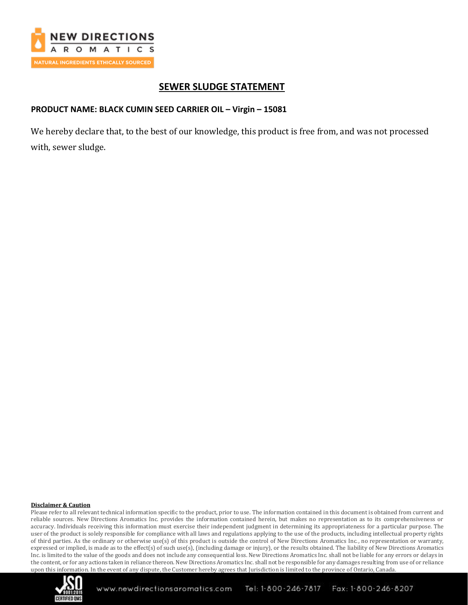

## **SEWER SLUDGE STATEMENT**

### **PRODUCT NAME: BLACK CUMIN SEED CARRIER OIL – Virgin – 15081**

We hereby declare that, to the best of our knowledge, this product is free from, and was not processed with, sewer sludge.

### **Disclaimer & Caution**

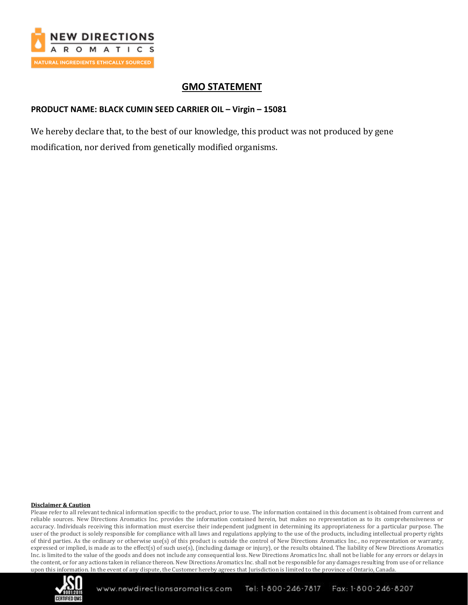

## **GMO STATEMENT**

## **PRODUCT NAME: BLACK CUMIN SEED CARRIER OIL – Virgin – 15081**

We hereby declare that, to the best of our knowledge, this product was not produced by gene modification, nor derived from genetically modified organisms.

### **Disclaimer & Caution**

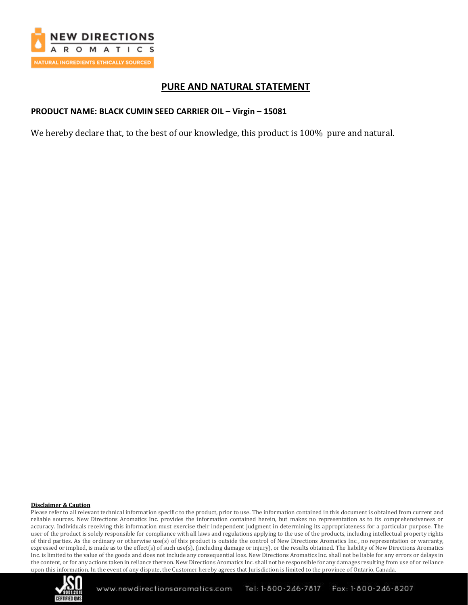

## **PURE AND NATURAL STATEMENT**

### **PRODUCT NAME: BLACK CUMIN SEED CARRIER OIL – Virgin – 15081**

We hereby declare that, to the best of our knowledge, this product is 100% pure and natural.

### **Disclaimer & Caution**

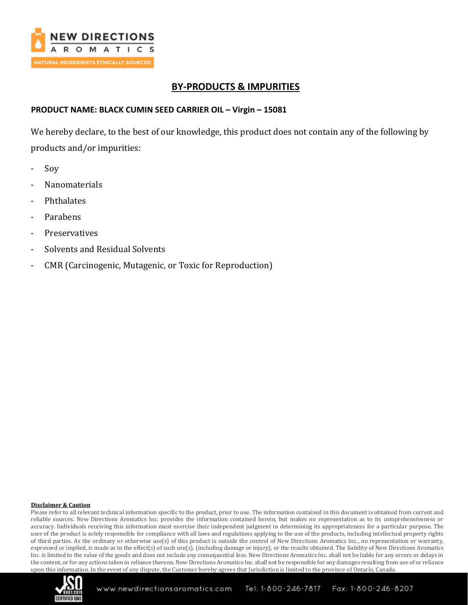

# **BY-PRODUCTS & IMPURITIES**

### **PRODUCT NAME: BLACK CUMIN SEED CARRIER OIL – Virgin – 15081**

We hereby declare, to the best of our knowledge, this product does not contain any of the following by products and/or impurities:

- Sov
- **Nanomaterials**
- **Phthalates**
- **Parabens**
- **Preservatives**
- Solvents and Residual Solvents
- CMR (Carcinogenic, Mutagenic, or Toxic for Reproduction)

### **Disclaimer & Caution**

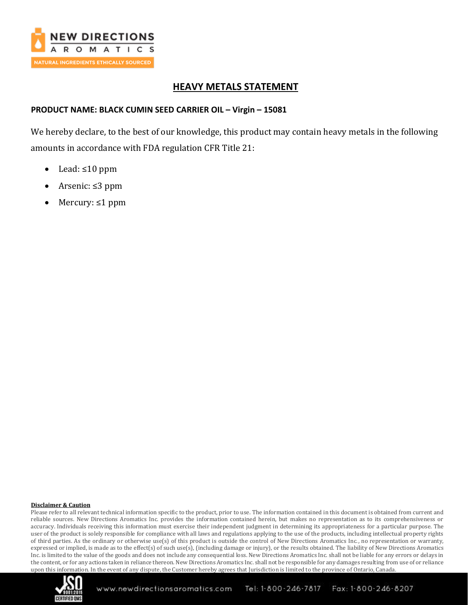

# **HEAVY METALS STATEMENT**

### **PRODUCT NAME: BLACK CUMIN SEED CARRIER OIL – Virgin – 15081**

We hereby declare, to the best of our knowledge, this product may contain heavy metals in the following amounts in accordance with FDA regulation CFR Title 21:

- Lead: ≤10 ppm
- Arsenic: ≤3 ppm
- Mercury: ≤1 ppm

### **Disclaimer & Caution**

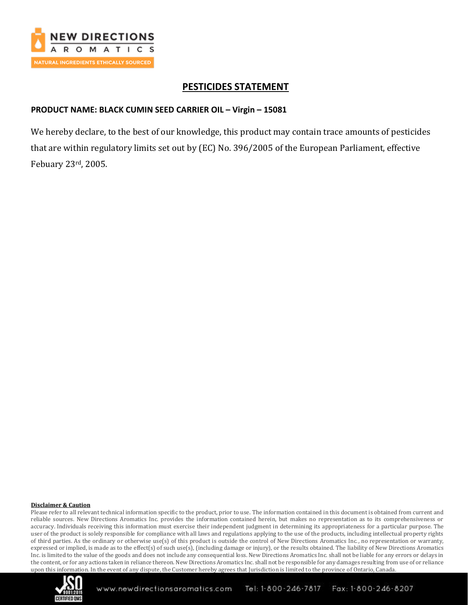

# **PESTICIDES STATEMENT**

### **PRODUCT NAME: BLACK CUMIN SEED CARRIER OIL – Virgin – 15081**

We hereby declare, to the best of our knowledge, this product may contain trace amounts of pesticides that are within regulatory limits set out by (EC) No. 396/2005 of the European Parliament, effective Febuary 23rd, 2005.

### **Disclaimer & Caution**

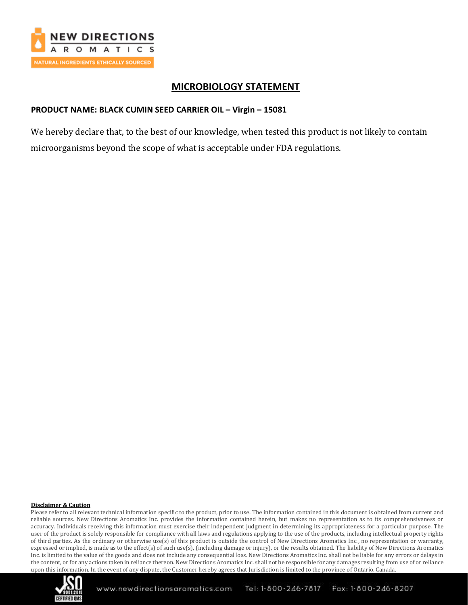

## **MICROBIOLOGY STATEMENT**

### **PRODUCT NAME: BLACK CUMIN SEED CARRIER OIL – Virgin – 15081**

We hereby declare that, to the best of our knowledge, when tested this product is not likely to contain microorganisms beyond the scope of what is acceptable under FDA regulations.

### **Disclaimer & Caution**

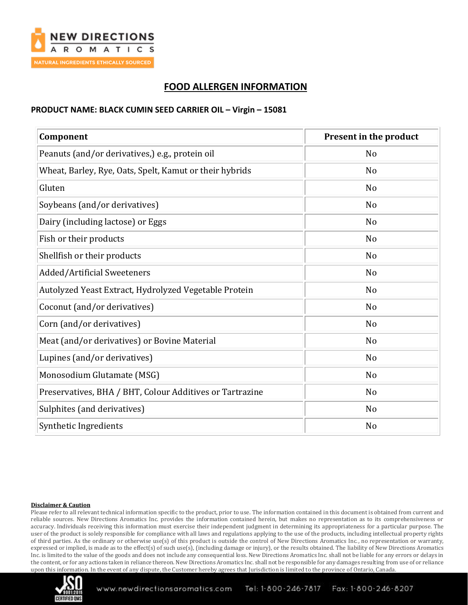

# **FOOD ALLERGEN INFORMATION**

### **PRODUCT NAME: BLACK CUMIN SEED CARRIER OIL – Virgin – 15081**

| Component                                                | Present in the product |
|----------------------------------------------------------|------------------------|
| Peanuts (and/or derivatives,) e.g., protein oil          | N <sub>o</sub>         |
| Wheat, Barley, Rye, Oats, Spelt, Kamut or their hybrids  | N <sub>o</sub>         |
| Gluten                                                   | N <sub>o</sub>         |
| Soybeans (and/or derivatives)                            | N <sub>o</sub>         |
| Dairy (including lactose) or Eggs                        | N <sub>o</sub>         |
| Fish or their products                                   | N <sub>o</sub>         |
| Shellfish or their products                              | N <sub>o</sub>         |
| <b>Added/Artificial Sweeteners</b>                       | N <sub>o</sub>         |
| Autolyzed Yeast Extract, Hydrolyzed Vegetable Protein    | N <sub>o</sub>         |
| Coconut (and/or derivatives)                             | No                     |
| Corn (and/or derivatives)                                | N <sub>o</sub>         |
| Meat (and/or derivatives) or Bovine Material             | N <sub>o</sub>         |
| Lupines (and/or derivatives)                             | N <sub>o</sub>         |
| Monosodium Glutamate (MSG)                               | N <sub>o</sub>         |
| Preservatives, BHA / BHT, Colour Additives or Tartrazine | N <sub>o</sub>         |
| Sulphites (and derivatives)                              | No                     |
| Synthetic Ingredients                                    | N <sub>o</sub>         |

### **Disclaimer & Caution**

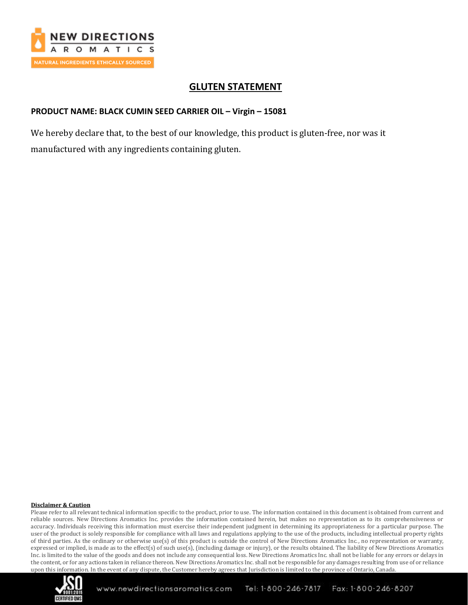

## **GLUTEN STATEMENT**

## **PRODUCT NAME: BLACK CUMIN SEED CARRIER OIL – Virgin – 15081**

We hereby declare that, to the best of our knowledge, this product is gluten-free, nor was it manufactured with any ingredients containing gluten.

### **Disclaimer & Caution**

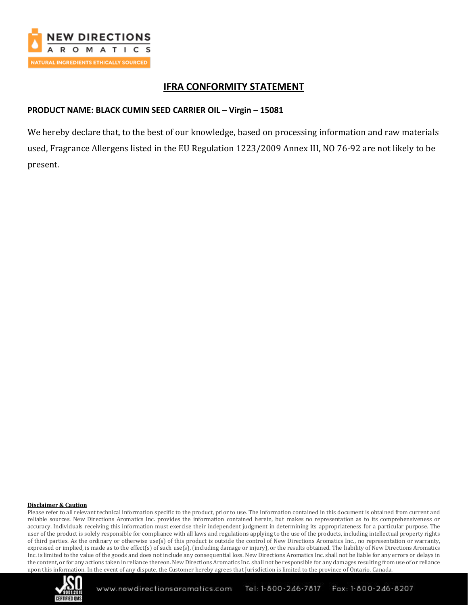

## **IFRA CONFORMITY STATEMENT**

## **PRODUCT NAME: BLACK CUMIN SEED CARRIER OIL – Virgin – 15081**

We hereby declare that, to the best of our knowledge, based on processing information and raw materials used, Fragrance Allergens listed in the EU Regulation 1223/2009 Annex III, NO 76-92 are not likely to be present.

### **Disclaimer & Caution**

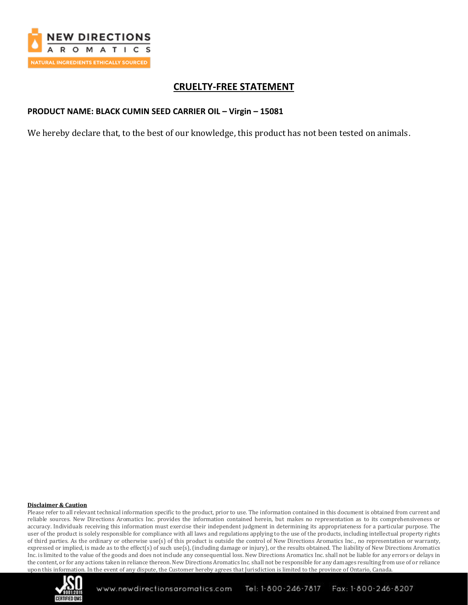

# **CRUELTY-FREE STATEMENT**

## **PRODUCT NAME: BLACK CUMIN SEED CARRIER OIL – Virgin – 15081**

We hereby declare that, to the best of our knowledge, this product has not been tested on animals.

### **Disclaimer & Caution**

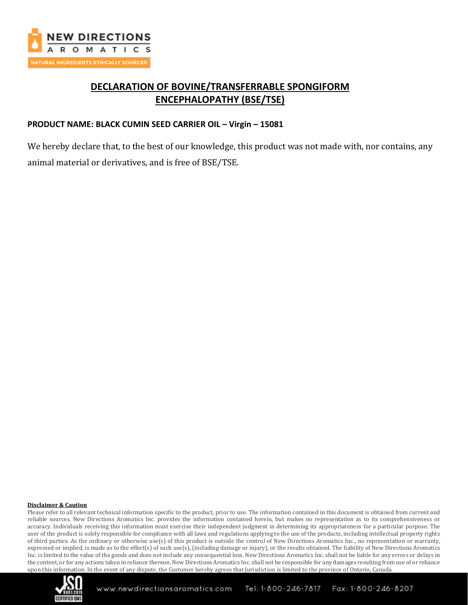

# **DECLARATION OF BOVINE/TRANSFERRABLE SPONGIFORM ENCEPHALOPATHY (BSE/TSE)**

## **PRODUCT NAME: BLACK CUMIN SEED CARRIER OIL – Virgin – 15081**

We hereby declare that, to the best of our knowledge, this product was not made with, nor contains, any animal material or derivatives, and is free of BSE/TSE.

### **Disclaimer & Caution**

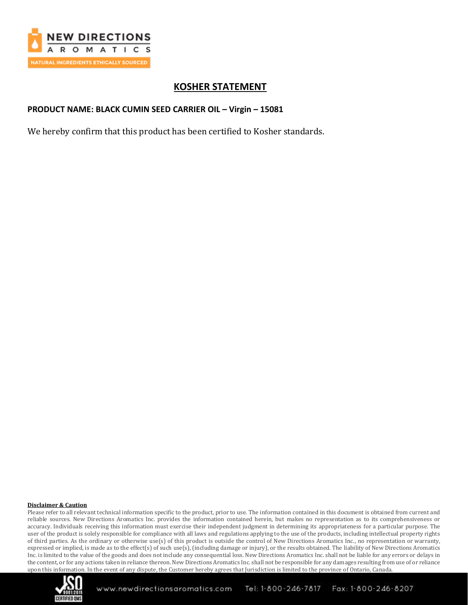

## **KOSHER STATEMENT**

### **PRODUCT NAME: BLACK CUMIN SEED CARRIER OIL – Virgin – 15081**

We hereby confirm that this product has been certified to Kosher standards.

### **Disclaimer & Caution**

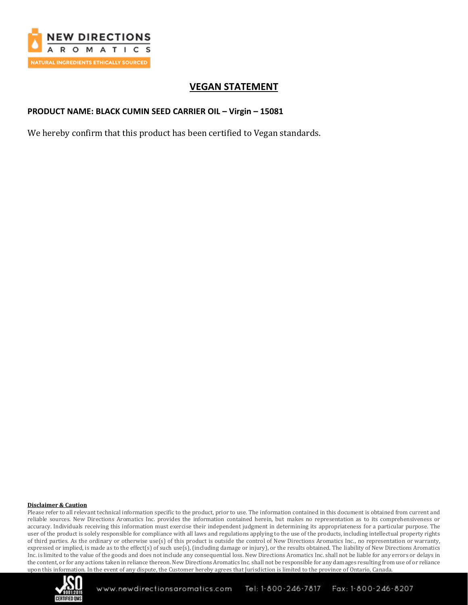

# **VEGAN STATEMENT**

## **PRODUCT NAME: BLACK CUMIN SEED CARRIER OIL – Virgin – 15081**

We hereby confirm that this product has been certified to Vegan standards.

### **Disclaimer & Caution**

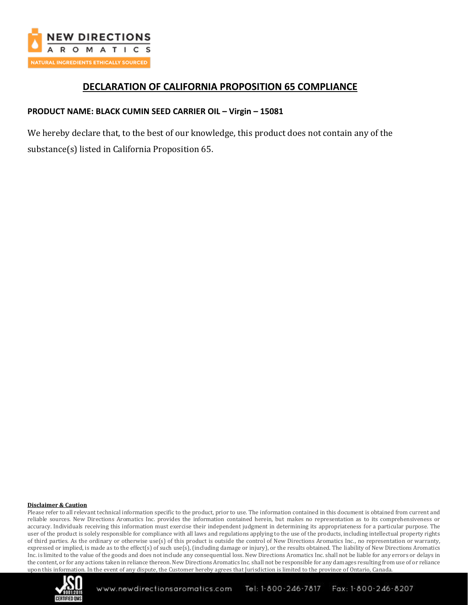

# **DECLARATION OF CALIFORNIA PROPOSITION 65 COMPLIANCE**

## **PRODUCT NAME: BLACK CUMIN SEED CARRIER OIL – Virgin – 15081**

We hereby declare that, to the best of our knowledge, this product does not contain any of the substance(s) listed in California Proposition 65.

#### **Disclaimer & Caution**